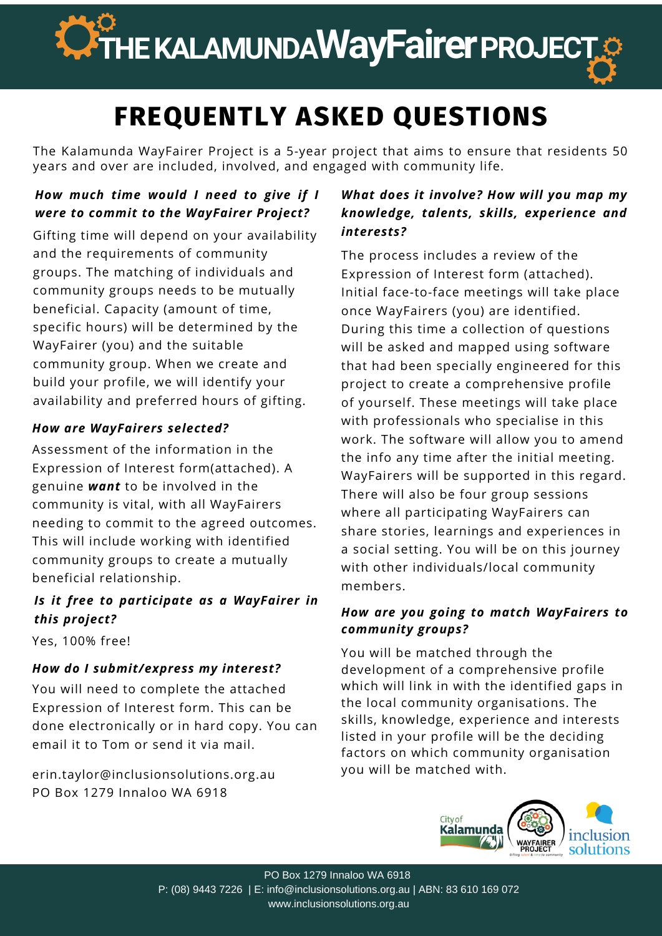

# **FREQUENTLY ASKED QUESTIONS**

The Kalamunda WayFairer Project is a 5-year project that aims to ensure that residents 50 years and over are included, involved, and engaged with community life.

# *How much time would I need to give if I were to commit to the WayFairer Project?*

Gifting time will depend on your availability and the requirements of community groups. The matching of individuals and community groups needs to be mutually beneficial. Capacity (amount of time, specific hours) will be determined by the WayFairer (you) and the suitable community group. When we create and build your profile, we will identify your availability and preferred hours of gifting.

# *How are WayFairers selected?*

Assessment of the information in the Expression of Interest form(attached). A genuine *want* to be involved in the community is vital, with all WayFairers needing to commit to the agreed outcomes. This will include working with identified community groups to create a mutually beneficial relationship.

# *Is it free to participate as a WayFairer in this project?*

Yes, 100% free!

### *How do I submit/express my interest?*

You will need to complete the attached Expression of Interest form. This can be done electronically or in hard copy. You can email it to Tom or send it via mail.

erin.taylor@inclusionsolutions.org.au PO Box 1279 Innaloo WA 6918

# *What does it involve? How will you map my knowledge, talents, skills, experience and interests?*

The process includes a review of the Expression of Interest form (attached). Initial face-to-face meetings will take place once WayFairers (you) are identified. During this time a collection of questions will be asked and mapped using software that had been specially engineered for this project to create a comprehensive profile of yourself. These meetings will take place with professionals who specialise in this work. The software will allow you to amend the info any time after the initial meeting. WayFairers will be supported in this regard. There will also be four group sessions where all participating WayFairers can share stories, learnings and experiences in a social setting. You will be on this journey with other individuals/local community members.

#### *How are you going to match WayFairers to community groups?*

You will be matched through the development of a comprehensive profile which will link in with the identified gaps in the local community organisations. The skills, knowledge, experience and interests listed in your profile will be the deciding factors on which community organisation you will be matched with.



PO Box 1279 Innaloo WA 6918 P: (08) 9443 7226 | E: info@inclusionsolutions.org.au | ABN: 83 610 169 072 www.inclusionsolutions.org.au